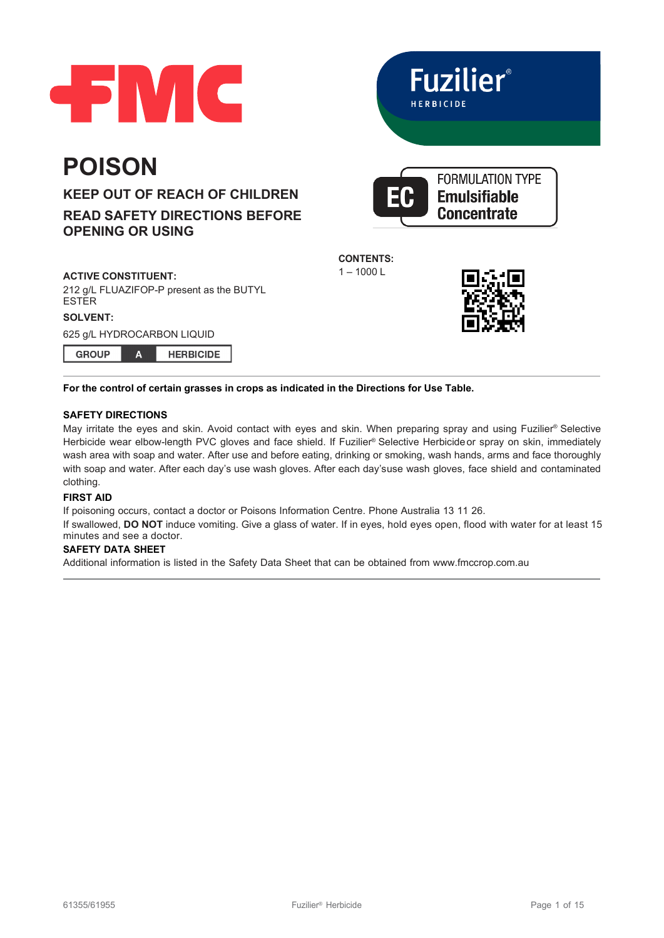



**Concentrate** 



# **READ SAFETY DIRECTIONS BEFORE OPENING OR USING**

## **ACTIVE CONSTITUENT:**

**POISON**

212 g/L FLUAZIFOP-P present as the BUTYL **ESTER** 

## **SOLVENT:**

625 g/L HYDROCARBON LIQUID  $\overline{A}$ 

**GROUP** 

**HERBICIDE** 

**CONTENTS:**

 $1 - 1000 L$ 



## **For the control of certain grasses in crops as indicated in the Directions for Use Table.**

## **SAFETY DIRECTIONS**

May irritate the eyes and skin. Avoid contact with eyes and skin. When preparing spray and using Fuzilier® Selective Herbicide wear elbow-length PVC gloves and face shield. If Fuzilier® Selective Herbicide or spray on skin, immediately wash area with soap and water. After use and before eating, drinking or smoking, wash hands, arms and face thoroughly with soap and water. After each day's use wash gloves. After each day'suse wash gloves, face shield and contaminated clothing.

## **FIRST AID**

If poisoning occurs, contact a doctor or Poisons Information Centre. Phone Australia 13 11 26. If swallowed, **DO NOT** induce vomiting. Give a glass of water. If in eyes, hold eyes open, flood with water for at least 15

# minutes and see a doctor.

# **SAFETY DATA SHEET**

Additional information is listed in the Safety Data Sheet that can be obtained from [www.fmccrop.com.au](http://www.fmccrop.com.au/)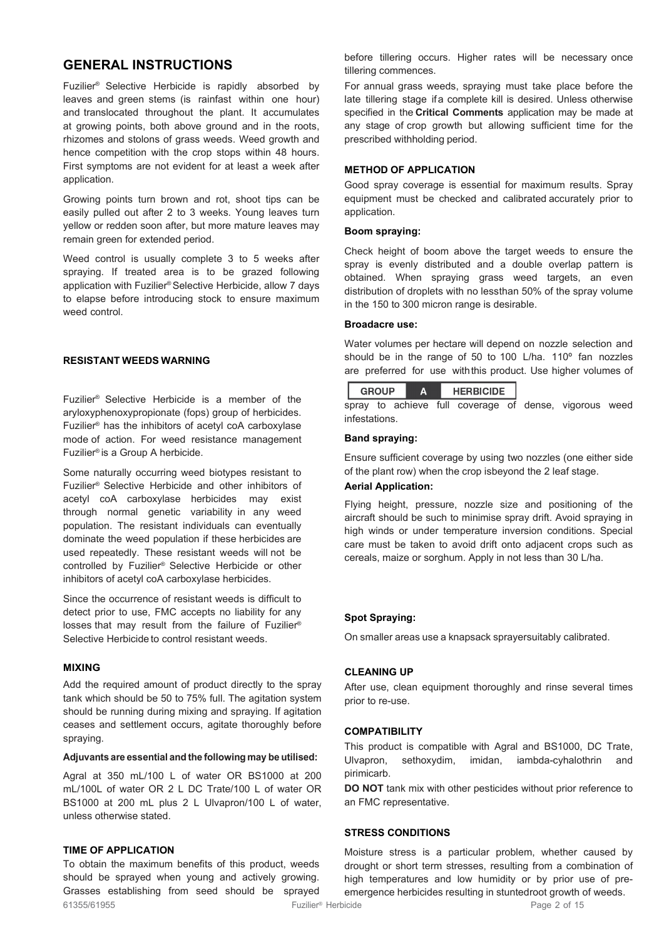# **GENERAL INSTRUCTIONS**

Fuzilier® Selective Herbicide is rapidly absorbed by leaves and green stems (is rainfast within one hour) and translocated throughout the plant. It accumulates at growing points, both above ground and in the roots, rhizomes and stolons of grass weeds. Weed growth and hence competition with the crop stops within 48 hours. First symptoms are not evident for at least a week after application.

Growing points turn brown and rot, shoot tips can be easily pulled out after 2 to 3 weeks. Young leaves turn yellow or redden soon after, but more mature leaves may remain green for extended period.

Weed control is usually complete 3 to 5 weeks after spraying. If treated area is to be grazed following application with Fuzilier® Selective Herbicide, allow 7 days to elapse before introducing stock to ensure maximum weed control.

## **RESISTANT WEEDS WARNING**

Fuzilier® Selective Herbicide is a member of the aryloxyphenoxypropionate (fops) group of herbicides. Fuzilier® has the inhibitors of acetyl coA carboxylase mode of action. For weed resistance management Fuzilier® is a Group A herbicide.

Some naturally occurring weed biotypes resistant to Fuzilier® Selective Herbicide and other inhibitors of acetyl coA carboxylase herbicides may exist through normal genetic variability in any weed population. The resistant individuals can eventually dominate the weed population if these herbicides are used repeatedly. These resistant weeds will not be controlled by Fuzilier® Selective Herbicide or other inhibitors of acetyl coA carboxylase herbicides.

Since the occurrence of resistant weeds is difficult to detect prior to use, FMC accepts no liability for any losses that may result from the failure of Fuzilier® Selective Herbicide to control resistant weeds.

#### **MIXING**

Add the required amount of product directly to the spray tank which should be 50 to 75% full. The agitation system should be running during mixing and spraying. If agitation ceases and settlement occurs, agitate thoroughly before spraying.

#### **Adjuvants are essential and the following may be utilised:**

Agral at 350 mL/100 L of water OR BS1000 at 200 mL/100L of water OR 2 L DC Trate/100 L of water OR BS1000 at 200 mL plus 2 L Ulvapron/100 L of water, unless otherwise stated.

# **TIME OF APPLICATION**

61355/61955 Fuzilier® Herbicide Page 2 of 15 To obtain the maximum benefits of this product, weeds should be sprayed when young and actively growing. Grasses establishing from seed should be sprayed

before tillering occurs. Higher rates will be necessary once tillering commences.

For annual grass weeds, spraying must take place before the late tillering stage ifa complete kill is desired. Unless otherwise specified in the **Critical Comments** application may be made at any stage of crop growth but allowing sufficient time for the prescribed withholding period.

#### **METHOD OF APPLICATION**

Good spray coverage is essential for maximum results. Spray equipment must be checked and calibrated accurately prior to application.

#### **Boom spraying:**

Check height of boom above the target weeds to ensure the spray is evenly distributed and a double overlap pattern is obtained. When spraying grass weed targets, an even distribution of droplets with no lessthan 50% of the spray volume in the 150 to 300 micron range is desirable.

#### **Broadacre use:**

Water volumes per hectare will depend on nozzle selection and should be in the range of 50 to 100 L/ha. 110º fan nozzles are preferred for use withthis product. Use higher volumes of



spray to achieve full coverage of dense, vigorous weed infestations.

#### **Band spraying:**

Ensure sufficient coverage by using two nozzles (one either side of the plant row) when the crop isbeyond the 2 leaf stage.

### **Aerial Application:**

Flying height, pressure, nozzle size and positioning of the aircraft should be such to minimise spray drift. Avoid spraying in high winds or under temperature inversion conditions. Special care must be taken to avoid drift onto adjacent crops such as cereals, maize or sorghum. Apply in not less than 30 L/ha.

#### **Spot Spraying:**

On smaller areas use a knapsack sprayersuitably calibrated.

#### **CLEANING UP**

After use, clean equipment thoroughly and rinse several times prior to re-use.

#### **COMPATIBILITY**

This product is compatible with Agral and BS1000, DC Trate, Ulvapron, sethoxydim, imidan, iambda-cyhalothrin and pirimicarb.

**DO NOT** tank mix with other pesticides without prior reference to an FMC representative.

#### **STRESS CONDITIONS**

Moisture stress is a particular problem, whether caused by drought or short term stresses, resulting from a combination of high temperatures and low humidity or by prior use of preemergence herbicides resulting in stuntedroot growth of weeds.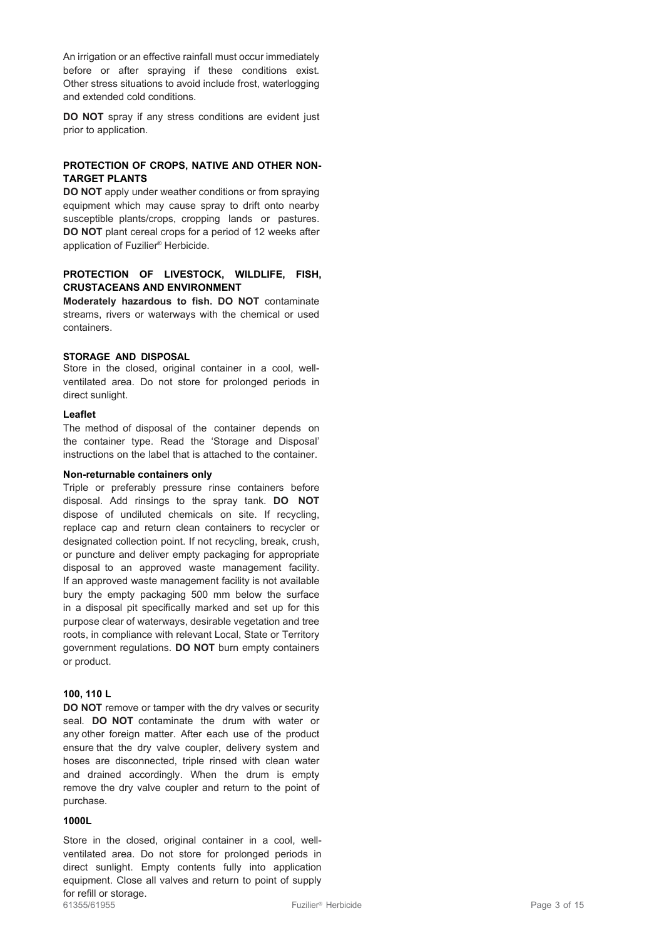An irrigation or an effective rainfall must occur immediately before or after spraying if these conditions exist. Other stress situations to avoid include frost, waterlogging and extended cold conditions.

**DO NOT** spray if any stress conditions are evident just prior to application.

## **PROTECTION OF CROPS, NATIVE AND OTHER NON-TARGET PLANTS**

**DO NOT** apply under weather conditions or from spraying equipment which may cause spray to drift onto nearby susceptible plants/crops, cropping lands or pastures. **DO NOT** plant cereal crops for a period of 12 weeks after application of Fuzilier® Herbicide.

# **PROTECTION OF LIVESTOCK, WILDLIFE, FISH, CRUSTACEANS AND ENVIRONMENT**

**Moderately hazardous to fish. DO NOT** contaminate streams, rivers or waterways with the chemical or used containers.

#### **STORAGE AND DISPOSAL**

Store in the closed, original container in a cool, wellventilated area. Do not store for prolonged periods in direct sunlight.

#### **Leaflet**

The method of disposal of the container depends on the container type. Read the 'Storage and Disposal' instructions on the label that is attached to the container.

#### **Non-returnable containers only**

Triple or preferably pressure rinse containers before disposal. Add rinsings to the spray tank. **DO NOT** dispose of undiluted chemicals on site. If recycling, replace cap and return clean containers to recycler or designated collection point. If not recycling, break, crush, or puncture and deliver empty packaging for appropriate disposal to an approved waste management facility. If an approved waste management facility is not available bury the empty packaging 500 mm below the surface in a disposal pit specifically marked and set up for this purpose clear of waterways, desirable vegetation and tree roots, in compliance with relevant Local, State or Territory government regulations. **DO NOT** burn empty containers or product.

#### **100, 110 L**

**DO NOT** remove or tamper with the dry valves or security seal. **DO NOT** contaminate the drum with water or any other foreign matter. After each use of the product ensure that the dry valve coupler, delivery system and hoses are disconnected, triple rinsed with clean water and drained accordingly. When the drum is empty remove the dry valve coupler and return to the point of purchase.

#### **1000L**

61355/61955 Fuzilier® Herbicide Page 3 of 15 Store in the closed, original container in a cool, wellventilated area. Do not store for prolonged periods in direct sunlight. Empty contents fully into application equipment. Close all valves and return to point of supply for refill or storage.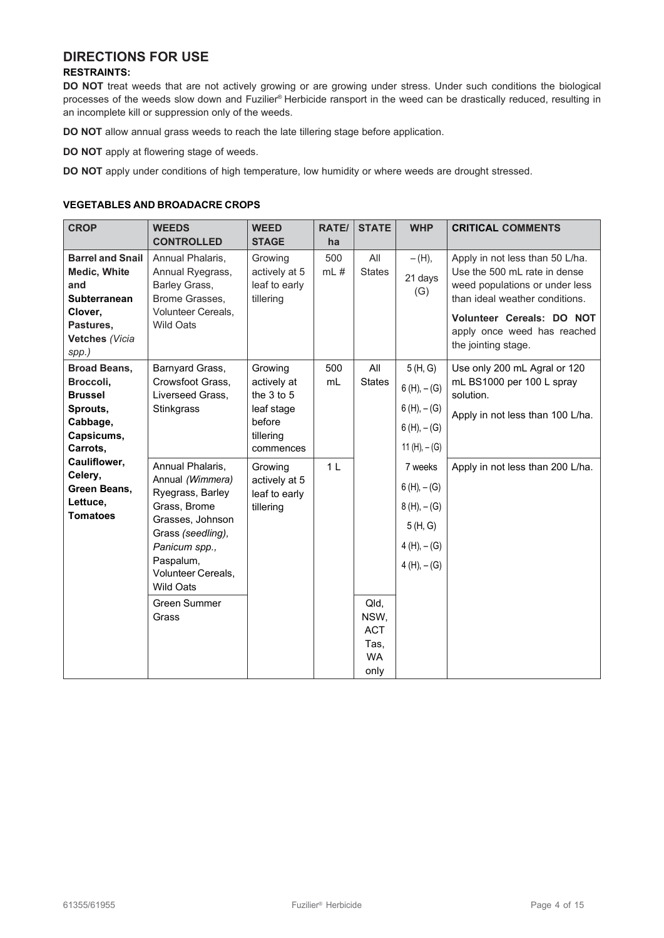# **DIRECTIONS FOR USE**

## **RESTRAINTS:**

**DO NOT** treat weeds that are not actively growing or are growing under stress. Under such conditions the biological processes of the weeds slow down and Fuzilier® Herbicide ransport in the weed can be drastically reduced, resulting in an incomplete kill or suppression only of the weeds.

**DO NOT** allow annual grass weeds to reach the late tillering stage before application.

**DO NOT** apply at flowering stage of weeds.

**DO NOT** apply under conditions of high temperature, low humidity or where weeds are drought stressed.

## **VEGETABLES AND BROADACRE CROPS**

| <b>CROP</b>                                                                                                              | <b>WEEDS</b><br><b>CONTROLLED</b>                                                                                                                                                                                  | <b>WEED</b><br><b>STAGE</b>                                                            | <b>RATE/</b><br>ha | <b>STATE</b>                                            | <b>WHP</b>                                                                             | <b>CRITICAL COMMENTS</b>                                                                                                                                                                                               |
|--------------------------------------------------------------------------------------------------------------------------|--------------------------------------------------------------------------------------------------------------------------------------------------------------------------------------------------------------------|----------------------------------------------------------------------------------------|--------------------|---------------------------------------------------------|----------------------------------------------------------------------------------------|------------------------------------------------------------------------------------------------------------------------------------------------------------------------------------------------------------------------|
| <b>Barrel and Snail</b><br>Medic, White<br>and<br><b>Subterranean</b><br>Clover,<br>Pastures,<br>Vetches (Vicia<br>spp.) | Annual Phalaris,<br>Annual Ryegrass,<br>Barley Grass,<br>Brome Grasses,<br><b>Volunteer Cereals.</b><br>Wild Oats                                                                                                  | Growing<br>actively at 5<br>leaf to early<br>tillering                                 | 500<br>$mL$ #      | All<br><b>States</b>                                    | $-(H),$<br>21 days<br>(G)                                                              | Apply in not less than 50 L/ha.<br>Use the 500 mL rate in dense<br>weed populations or under less<br>than ideal weather conditions.<br>Volunteer Cereals: DO NOT<br>apply once weed has reached<br>the jointing stage. |
| <b>Broad Beans,</b><br>Broccoli,<br><b>Brussel</b><br>Sprouts,<br>Cabbage,<br>Capsicums,<br>Carrots,                     | Barnyard Grass,<br>Crowsfoot Grass,<br>Liverseed Grass,<br>Stinkgrass                                                                                                                                              | Growing<br>actively at<br>the 3 to 5<br>leaf stage<br>before<br>tillering<br>commences | 500<br>mL          | All<br><b>States</b>                                    | 5(H, G)<br>$6(H), -(G)$<br>$6(H), -(G)$<br>$6(H), -(G)$<br>11 (H), $-$ (G)             | Use only 200 mL Agral or 120<br>mL BS1000 per 100 L spray<br>solution.<br>Apply in not less than 100 L/ha.                                                                                                             |
| Cauliflower,<br>Celery,<br>Green Beans,<br>Lettuce,<br><b>Tomatoes</b>                                                   | Annual Phalaris,<br>Annual (Wimmera)<br>Ryegrass, Barley<br>Grass, Brome<br>Grasses, Johnson<br>Grass (seedling),<br>Panicum spp.,<br>Paspalum,<br>Volunteer Cereals,<br><b>Wild Oats</b><br>Green Summer<br>Grass | Growing<br>actively at 5<br>leaf to early<br>tillering                                 | 1 <sub>L</sub>     | Qld,<br>NSW,<br><b>ACT</b><br>Tas,<br><b>WA</b><br>only | 7 weeks<br>$6(H)$ , $- (G)$<br>$8(H), -(G)$<br>5(H, G)<br>$4(H), -(G)$<br>$4(H), -(G)$ | Apply in not less than 200 L/ha.                                                                                                                                                                                       |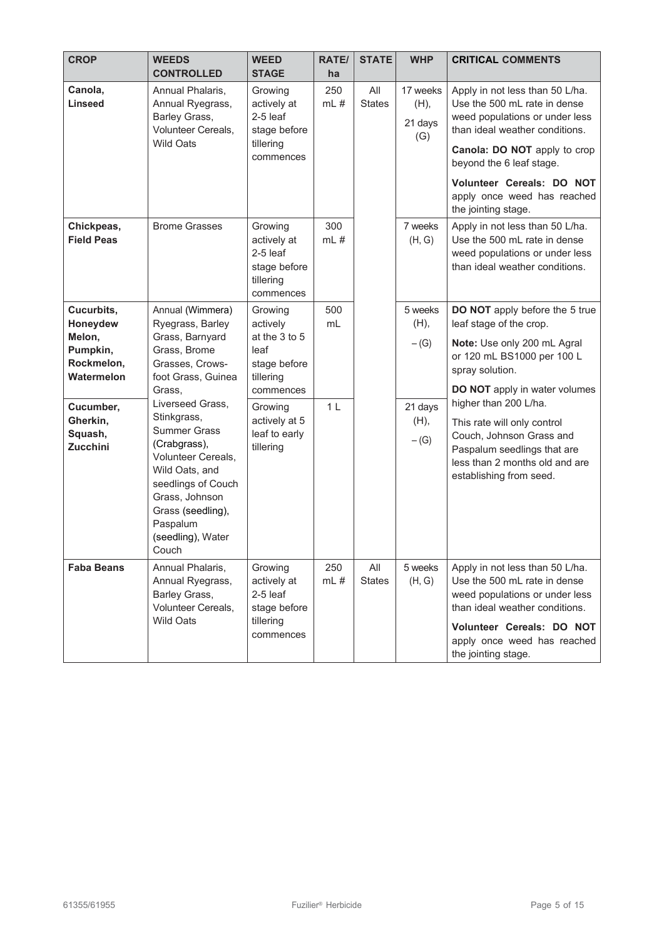| <b>CROP</b>                                                                           | <b>WEEDS</b><br><b>CONTROLLED</b>                                                                                                                                                                 | <b>WEED</b><br><b>STAGE</b>                                                                       | <b>RATE/</b><br>ha          | <b>STATE</b>         | <b>WHP</b>                           | <b>CRITICAL COMMENTS</b>                                                                                                                                                                                                                                                           |
|---------------------------------------------------------------------------------------|---------------------------------------------------------------------------------------------------------------------------------------------------------------------------------------------------|---------------------------------------------------------------------------------------------------|-----------------------------|----------------------|--------------------------------------|------------------------------------------------------------------------------------------------------------------------------------------------------------------------------------------------------------------------------------------------------------------------------------|
| Canola,<br><b>Linseed</b>                                                             | Annual Phalaris,<br>Annual Ryegrass,<br>Barley Grass,<br>Volunteer Cereals,<br><b>Wild Oats</b>                                                                                                   | Growing<br>actively at<br>$2-5$ leaf<br>stage before<br>tillering<br>commences                    | 250<br>$mL$ #               | All<br><b>States</b> | 17 weeks<br>(H),<br>21 days<br>(G)   | Apply in not less than 50 L/ha.<br>Use the 500 mL rate in dense<br>weed populations or under less<br>than ideal weather conditions.<br>Canola: DO NOT apply to crop<br>beyond the 6 leaf stage.<br>Volunteer Cereals: DO NOT<br>apply once weed has reached<br>the jointing stage. |
| Chickpeas,<br><b>Field Peas</b>                                                       | <b>Brome Grasses</b>                                                                                                                                                                              | Growing<br>actively at<br>$2-5$ leaf<br>stage before<br>tillering<br>commences                    | 300<br>mL#                  |                      | 7 weeks<br>(H, G)                    | Apply in not less than 50 L/ha.<br>Use the 500 mL rate in dense<br>weed populations or under less<br>than ideal weather conditions.                                                                                                                                                |
| Cucurbits,<br>Honeydew<br>Melon,<br>Pumpkin,<br>Rockmelon,<br>Watermelon<br>Cucumber, | Annual (Wimmera)<br>Ryegrass, Barley<br>Grass, Barnyard<br>Grass, Brome<br>Grasses, Crows-<br>foot Grass, Guinea<br>Grass,<br>Liverseed Grass,                                                    | Growing<br>actively<br>at the 3 to 5<br>leaf<br>stage before<br>tillering<br>commences<br>Growing | 500<br>mL<br>1 <sub>L</sub> |                      | 5 weeks<br>(H),<br>$-(G)$<br>21 days | DO NOT apply before the 5 true<br>leaf stage of the crop.<br>Note: Use only 200 mL Agral<br>or 120 mL BS1000 per 100 L<br>spray solution.<br><b>DO NOT</b> apply in water volumes<br>higher than 200 L/ha.                                                                         |
| Gherkin,<br>Squash,<br><b>Zucchini</b>                                                | Stinkgrass,<br><b>Summer Grass</b><br>(Crabgrass),<br>Volunteer Cereals,<br>Wild Oats, and<br>seedlings of Couch<br>Grass, Johnson<br>Grass (seedling),<br>Paspalum<br>(seedling), Water<br>Couch | actively at 5<br>leaf to early<br>tillering                                                       |                             |                      | (H),<br>$-(G)$                       | This rate will only control<br>Couch, Johnson Grass and<br>Paspalum seedlings that are<br>less than 2 months old and are<br>establishing from seed.                                                                                                                                |
| <b>Faba Beans</b>                                                                     | Annual Phalaris,<br>Annual Ryegrass,<br>Barley Grass,<br>Volunteer Cereals,<br><b>Wild Oats</b>                                                                                                   | Growing<br>actively at<br>$2-5$ leaf<br>stage before<br>tillering<br>commences                    | 250<br>$mL$ #               | All<br><b>States</b> | 5 weeks<br>(H, G)                    | Apply in not less than 50 L/ha.<br>Use the 500 mL rate in dense<br>weed populations or under less<br>than ideal weather conditions.<br>Volunteer Cereals: DO NOT<br>apply once weed has reached<br>the jointing stage.                                                             |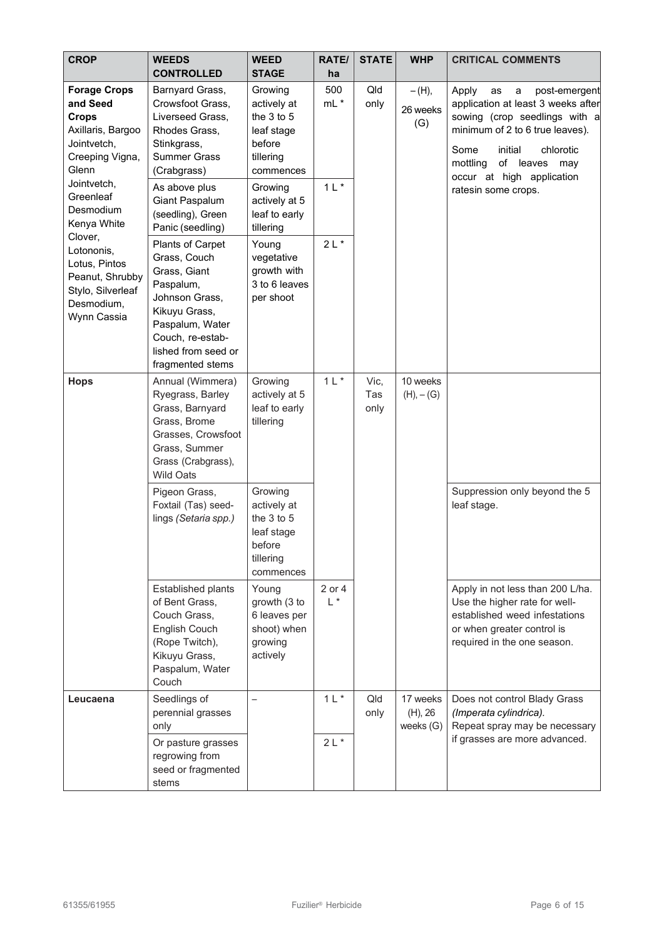| <b>CROP</b>                                                                                                                                                                                                                                                                            | <b>WEEDS</b><br><b>CONTROLLED</b>                                                                                                                                                  | <b>WEED</b><br><b>STAGE</b>                                                                | <b>RATE/</b><br>ha | <b>STATE</b> | <b>WHP</b>                       | <b>CRITICAL COMMENTS</b>                                                                                                                                                                                                              |                                              |
|----------------------------------------------------------------------------------------------------------------------------------------------------------------------------------------------------------------------------------------------------------------------------------------|------------------------------------------------------------------------------------------------------------------------------------------------------------------------------------|--------------------------------------------------------------------------------------------|--------------------|--------------|----------------------------------|---------------------------------------------------------------------------------------------------------------------------------------------------------------------------------------------------------------------------------------|----------------------------------------------|
| <b>Forage Crops</b><br>and Seed<br><b>Crops</b><br>Axillaris, Bargoo<br>Jointvetch,<br>Creeping Vigna,<br>Glenn<br>Jointvetch,<br>Greenleaf<br>Desmodium<br>Kenya White<br>Clover,<br>Lotononis,<br>Lotus, Pintos<br>Peanut, Shrubby<br>Stylo, Silverleaf<br>Desmodium,<br>Wynn Cassia | Barnyard Grass,<br>Crowsfoot Grass,<br>Liverseed Grass,<br>Rhodes Grass,<br>Stinkgrass,<br><b>Summer Grass</b><br>(Crabgrass)                                                      | Growing<br>actively at<br>the $3$ to $5$<br>leaf stage<br>before<br>tillering<br>commences | 500<br>$mL^*$      | Qld<br>only  | $-(H),$<br>26 weeks<br>(G)       | Apply<br>post-emergent<br>as<br>a<br>application at least 3 weeks after<br>sowing (crop seedlings with a<br>minimum of 2 to 6 true leaves).<br>Some<br>initial<br>chlorotic<br>of leaves may<br>mottling<br>occur at high application |                                              |
|                                                                                                                                                                                                                                                                                        | As above plus<br>Giant Paspalum<br>(seedling), Green<br>Panic (seedling)                                                                                                           | Growing<br>actively at 5<br>leaf to early<br>tillering                                     | $1 L*$             |              |                                  | ratesin some crops.                                                                                                                                                                                                                   |                                              |
|                                                                                                                                                                                                                                                                                        | Plants of Carpet<br>Grass, Couch<br>Grass, Giant<br>Paspalum,<br>Johnson Grass,<br>Kikuyu Grass,<br>Paspalum, Water<br>Couch, re-estab-<br>lished from seed or<br>fragmented stems | Young<br>vegetative<br>growth with<br>3 to 6 leaves<br>per shoot                           | $2L*$              | Vic,         |                                  |                                                                                                                                                                                                                                       |                                              |
| <b>Hops</b>                                                                                                                                                                                                                                                                            | Annual (Wimmera)<br>Ryegrass, Barley<br>Grass, Barnyard<br>Grass, Brome<br>Grasses, Crowsfoot<br>Grass, Summer<br>Grass (Crabgrass),<br><b>Wild Oats</b>                           | Growing<br>actively at 5<br>leaf to early<br>tillering                                     | $1 L$ *            | Tas<br>only  | 10 weeks<br>$(H), -(G)$          |                                                                                                                                                                                                                                       |                                              |
|                                                                                                                                                                                                                                                                                        | Pigeon Grass,<br>Foxtail (Tas) seed-<br>lings (Setaria spp.)                                                                                                                       | Growing<br>actively at<br>the $3$ to $5$<br>leaf stage<br>before<br>tillering<br>commences |                    |              |                                  |                                                                                                                                                                                                                                       | Suppression only beyond the 5<br>leaf stage. |
|                                                                                                                                                                                                                                                                                        | Established plants<br>of Bent Grass,<br>Couch Grass,<br>English Couch<br>(Rope Twitch),<br>Kikuyu Grass,<br>Paspalum, Water<br>Couch                                               | Young<br>growth (3 to<br>6 leaves per<br>shoot) when<br>growing<br>actively                | 2 or 4<br>$L^*$    |              |                                  | Apply in not less than 200 L/ha.<br>Use the higher rate for well-<br>established weed infestations<br>or when greater control is<br>required in the one season.                                                                       |                                              |
| Leucaena                                                                                                                                                                                                                                                                               | Seedlings of<br>perennial grasses<br>only<br>Or pasture grasses<br>regrowing from<br>seed or fragmented<br>stems                                                                   | $\overline{\phantom{0}}$                                                                   | $1 L$ *<br>$2L^*$  | Qld<br>only  | 17 weeks<br>(H), 26<br>weeks (G) | Does not control Blady Grass<br>(Imperata cylindrica).<br>Repeat spray may be necessary<br>if grasses are more advanced.                                                                                                              |                                              |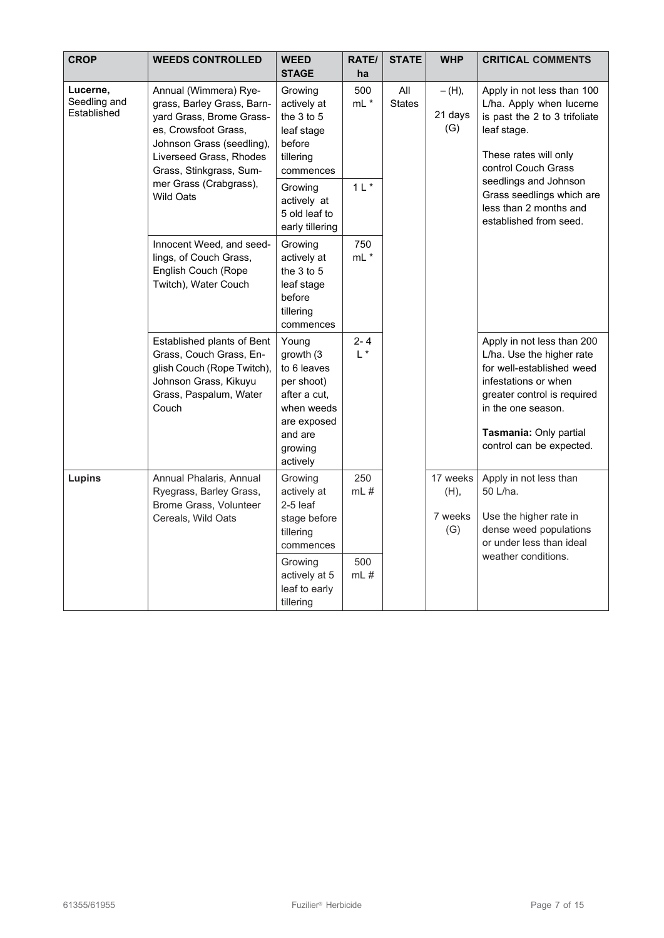| <b>CROP</b>                             | <b>WEEDS CONTROLLED</b>                                                                                                                                                                                                                  | <b>WEED</b><br><b>STAGE</b>                                                                                                                          | RATE/<br>ha                    | <b>STATE</b>         | <b>WHP</b>                         | <b>CRITICAL COMMENTS</b>                                                                                                                                                                                                                                         |  |  |  |  |  |
|-----------------------------------------|------------------------------------------------------------------------------------------------------------------------------------------------------------------------------------------------------------------------------------------|------------------------------------------------------------------------------------------------------------------------------------------------------|--------------------------------|----------------------|------------------------------------|------------------------------------------------------------------------------------------------------------------------------------------------------------------------------------------------------------------------------------------------------------------|--|--|--|--|--|
| Lucerne,<br>Seedling and<br>Established | Annual (Wimmera) Rye-<br>grass, Barley Grass, Barn-<br>yard Grass, Brome Grass-<br>es, Crowsfoot Grass,<br>Johnson Grass (seedling),<br>Liverseed Grass, Rhodes<br>Grass, Stinkgrass, Sum-<br>mer Grass (Crabgrass),<br><b>Wild Oats</b> | Growing<br>actively at<br>the 3 to 5<br>leaf stage<br>before<br>tillering<br>commences<br>Growing<br>actively at<br>5 old leaf to<br>early tillering | 500<br>$mL^*$<br>$1 L$ *       | All<br><b>States</b> | $- (H),$<br>21 days<br>(G)         | Apply in not less than 100<br>L/ha. Apply when lucerne<br>is past the 2 to 3 trifoliate<br>leaf stage.<br>These rates will only<br>control Couch Grass<br>seedlings and Johnson<br>Grass seedlings which are<br>less than 2 months and<br>established from seed. |  |  |  |  |  |
|                                         | Innocent Weed, and seed-<br>lings, of Couch Grass,<br>English Couch (Rope<br>Twitch), Water Couch                                                                                                                                        | Growing<br>actively at<br>the $3$ to $5$<br>leaf stage<br>before<br>tillering<br>commences                                                           | 750<br>$mL^*$                  |                      |                                    |                                                                                                                                                                                                                                                                  |  |  |  |  |  |
|                                         | Established plants of Bent<br>Grass, Couch Grass, En-<br>glish Couch (Rope Twitch),<br>Johnson Grass, Kikuyu<br>Grass, Paspalum, Water<br>Couch                                                                                          | Young<br>growth (3<br>to 6 leaves<br>per shoot)<br>after a cut,<br>when weeds<br>are exposed<br>and are<br>growing<br>actively                       | $2 - 4$<br>$L^*$               |                      |                                    | Apply in not less than 200<br>L/ha. Use the higher rate<br>for well-established weed<br>infestations or when<br>greater control is required<br>in the one season.<br>Tasmania: Only partial<br>control can be expected.                                          |  |  |  |  |  |
| Lupins                                  | Annual Phalaris, Annual<br>Ryegrass, Barley Grass,<br>Brome Grass, Volunteer<br>Cereals, Wild Oats                                                                                                                                       | Growing<br>actively at<br>2-5 leaf<br>stage before<br>tillering<br>commences<br>Growing<br>actively at 5<br>leaf to early<br>tillering               | 250<br>$mL$ #<br>500<br>$mL$ # |                      | 17 weeks<br>(H),<br>7 weeks<br>(G) | Apply in not less than<br>50 L/ha.<br>Use the higher rate in<br>dense weed populations<br>or under less than ideal<br>weather conditions.                                                                                                                        |  |  |  |  |  |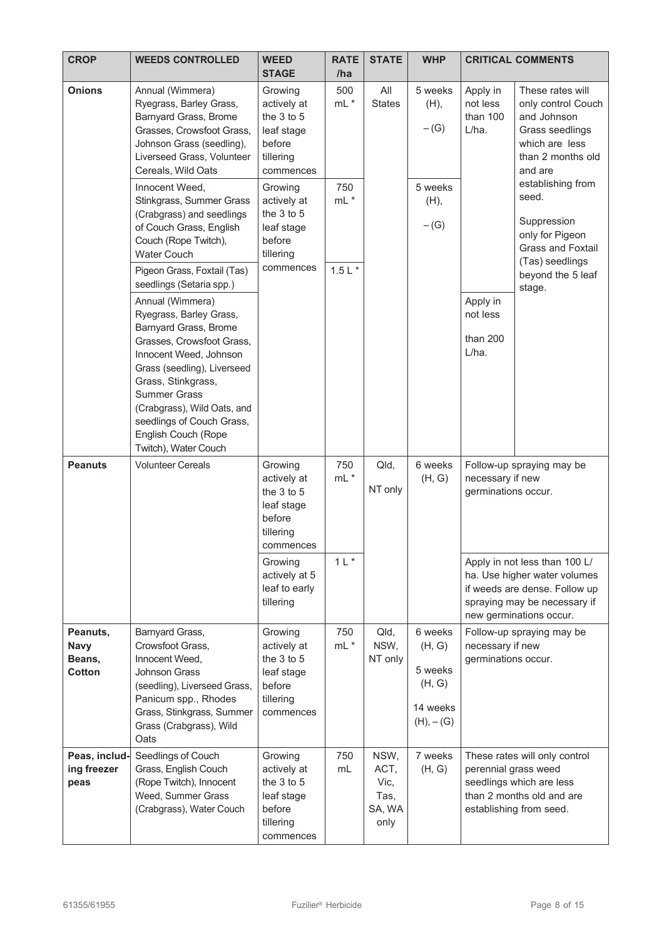| <b>CROP</b>                                 | <b>WEEDS CONTROLLED</b>                                                                                                                                                                                                                                                                                                                                                       | <b>WEED</b><br><b>STAGE</b>                                                                | <b>RATE</b><br>/ha | <b>STATE</b>                                   | <b>WHP</b>                                                        |                                                                      | <b>CRITICAL COMMENTS</b>                                                                                                                                  |
|---------------------------------------------|-------------------------------------------------------------------------------------------------------------------------------------------------------------------------------------------------------------------------------------------------------------------------------------------------------------------------------------------------------------------------------|--------------------------------------------------------------------------------------------|--------------------|------------------------------------------------|-------------------------------------------------------------------|----------------------------------------------------------------------|-----------------------------------------------------------------------------------------------------------------------------------------------------------|
| <b>Onions</b>                               | Annual (Wimmera)<br>Ryegrass, Barley Grass,<br>Barnyard Grass, Brome<br>Grasses, Crowsfoot Grass,<br>Johnson Grass (seedling),<br>Liverseed Grass, Volunteer<br>Cereals, Wild Oats                                                                                                                                                                                            | Growing<br>actively at<br>the $3$ to $5$<br>leaf stage<br>before<br>tillering<br>commences | 500<br>$mL^*$      | All<br><b>States</b>                           | 5 weeks<br>(H),<br>$-(G)$                                         | Apply in<br>not less<br>than 100<br>L/ha.                            | These rates will<br>only control Couch<br>and Johnson<br>Grass seedlings<br>which are less<br>than 2 months old<br>and are                                |
|                                             | Innocent Weed,<br>Stinkgrass, Summer Grass<br>(Crabgrass) and seedlings<br>of Couch Grass, English<br>Couch (Rope Twitch),<br><b>Water Couch</b>                                                                                                                                                                                                                              | Growing<br>actively at<br>the 3 to 5<br>leaf stage<br>before<br>tillering                  | 750<br>$mL$ *      |                                                | 5 weeks<br>(H),<br>$-(G)$                                         |                                                                      | establishing from<br>seed.<br>Suppression<br>only for Pigeon<br><b>Grass and Foxtail</b><br>(Tas) seedlings                                               |
|                                             | Pigeon Grass, Foxtail (Tas)<br>seedlings (Setaria spp.)<br>Annual (Wimmera)<br>Ryegrass, Barley Grass,<br>Barnyard Grass, Brome<br>Grasses, Crowsfoot Grass,<br>Innocent Weed, Johnson<br>Grass (seedling), Liverseed<br>Grass, Stinkgrass,<br><b>Summer Grass</b><br>(Crabgrass), Wild Oats, and<br>seedlings of Couch Grass,<br>English Couch (Rope<br>Twitch), Water Couch | commences                                                                                  | $1.5 L$ *          |                                                |                                                                   | Apply in<br>not less<br>than 200<br>L/ha.                            | beyond the 5 leaf<br>stage.                                                                                                                               |
| <b>Peanuts</b>                              | <b>Volunteer Cereals</b>                                                                                                                                                                                                                                                                                                                                                      | Growing<br>actively at<br>the 3 to 5<br>leaf stage<br>before<br>tillering<br>commences     | 750<br>$mL^*$      | Qld,<br>NT only                                | 6 weeks<br>(H, G)                                                 | Follow-up spraying may be<br>necessary if new<br>germinations occur. |                                                                                                                                                           |
|                                             |                                                                                                                                                                                                                                                                                                                                                                               | Growing<br>actively at 5<br>leaf to early<br>tillering                                     | $1 L$ *            |                                                |                                                                   |                                                                      | Apply in not less than 100 L/<br>ha. Use higher water volumes<br>if weeds are dense. Follow up<br>spraying may be necessary if<br>new germinations occur. |
| Peanuts,<br><b>Navy</b><br>Beans,<br>Cotton | Barnyard Grass,<br>Crowsfoot Grass,<br>Innocent Weed,<br><b>Johnson Grass</b><br>(seedling), Liverseed Grass,<br>Panicum spp., Rhodes<br>Grass, Stinkgrass, Summer<br>Grass (Crabgrass), Wild<br>Oats                                                                                                                                                                         | Growing<br>actively at<br>the $3$ to $5$<br>leaf stage<br>before<br>tillering<br>commences | 750<br>$mL^*$      | Qld,<br>NSW,<br>NT only                        | 6 weeks<br>(H, G)<br>5 weeks<br>(H, G)<br>14 weeks<br>$(H), -(G)$ | necessary if new<br>germinations occur.                              | Follow-up spraying may be                                                                                                                                 |
| Peas, includ-<br>ing freezer<br>peas        | Seedlings of Couch<br>Grass, English Couch<br>(Rope Twitch), Innocent<br>Weed, Summer Grass<br>(Crabgrass), Water Couch                                                                                                                                                                                                                                                       | Growing<br>actively at<br>the $3$ to $5$<br>leaf stage<br>before<br>tillering<br>commences | 750<br>mL          | NSW,<br>ACT,<br>Vic,<br>Tas,<br>SA, WA<br>only | 7 weeks<br>(H, G)                                                 | perennial grass weed                                                 | These rates will only control<br>seedlings which are less<br>than 2 months old and are<br>establishing from seed.                                         |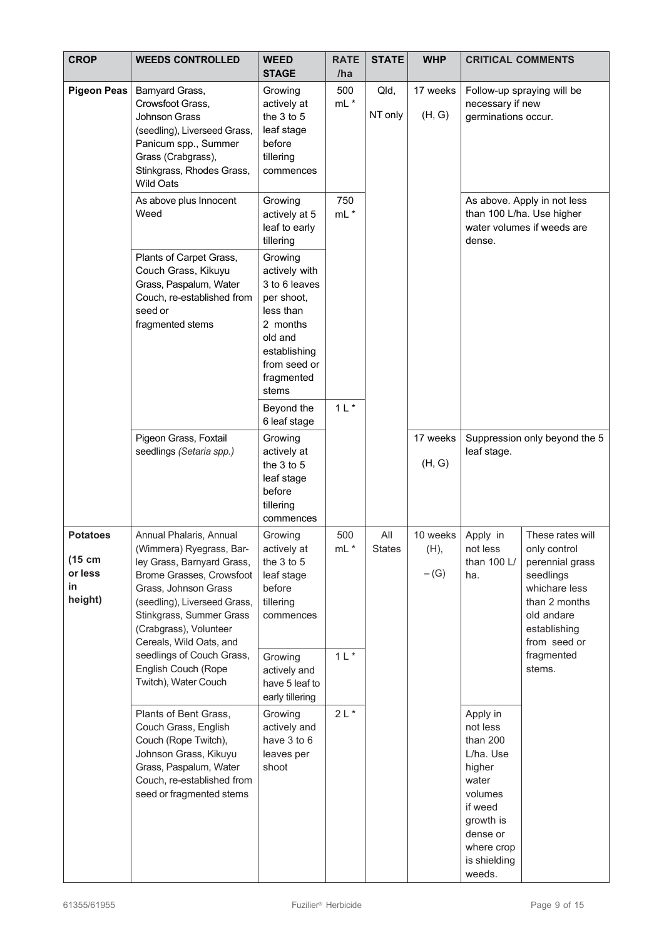| <b>CROP</b>                                           | <b>WEEDS CONTROLLED</b>                                                                                                                                                                                                                                                             | <b>WEED</b><br><b>STAGE</b>                                                                                                                        | <b>RATE</b><br>/ha     | <b>STATE</b>    | <b>WHP</b>                 | <b>CRITICAL COMMENTS</b>                                                                                                                                |                                                                                                                                                                |
|-------------------------------------------------------|-------------------------------------------------------------------------------------------------------------------------------------------------------------------------------------------------------------------------------------------------------------------------------------|----------------------------------------------------------------------------------------------------------------------------------------------------|------------------------|-----------------|----------------------------|---------------------------------------------------------------------------------------------------------------------------------------------------------|----------------------------------------------------------------------------------------------------------------------------------------------------------------|
| <b>Pigeon Peas</b>                                    | Barnyard Grass,<br>Crowsfoot Grass,<br>Johnson Grass<br>(seedling), Liverseed Grass,<br>Panicum spp., Summer<br>Grass (Crabgrass),<br>Stinkgrass, Rhodes Grass,<br><b>Wild Oats</b>                                                                                                 | Growing<br>actively at<br>the 3 to 5<br>leaf stage<br>before<br>tillering<br>commences                                                             | 500<br>$mL^*$          | Qld,<br>NT only | 17 weeks<br>(H, G)         | necessary if new<br>germinations occur.                                                                                                                 | Follow-up spraying will be                                                                                                                                     |
|                                                       | As above plus Innocent<br>Weed                                                                                                                                                                                                                                                      | Growing<br>actively at 5<br>leaf to early<br>tillering                                                                                             | 750<br>$mL^*$          |                 |                            | dense.                                                                                                                                                  | As above. Apply in not less<br>than 100 L/ha. Use higher<br>water volumes if weeds are                                                                         |
|                                                       | Plants of Carpet Grass,<br>Couch Grass, Kikuyu<br>Grass, Paspalum, Water<br>Couch, re-established from<br>seed or<br>fragmented stems                                                                                                                                               | Growing<br>actively with<br>3 to 6 leaves<br>per shoot,<br>less than<br>2 months<br>old and<br>establishing<br>from seed or<br>fragmented<br>stems |                        |                 |                            |                                                                                                                                                         |                                                                                                                                                                |
|                                                       |                                                                                                                                                                                                                                                                                     | Beyond the<br>6 leaf stage                                                                                                                         | 1 L                    |                 |                            |                                                                                                                                                         |                                                                                                                                                                |
|                                                       | Pigeon Grass, Foxtail<br>seedlings (Setaria spp.)                                                                                                                                                                                                                                   | Growing<br>actively at<br>the 3 to 5<br>leaf stage<br>before<br>tillering<br>commences                                                             |                        |                 | 17 weeks<br>(H, G)         | leaf stage.                                                                                                                                             | Suppression only beyond the 5                                                                                                                                  |
| <b>Potatoes</b><br>(15 cm<br>or less<br>in<br>height) | Annual Phalaris, Annual<br>(Wimmera) Ryegrass, Bar-<br>ley Grass, Barnyard Grass,<br>Brome Grasses, Crowsfoot<br>Grass, Johnson Grass<br>(seedling), Liverseed Grass,<br>Stinkgrass, Summer Grass<br>(Crabgrass), Volunteer<br>Cereals, Wild Oats, and<br>seedlings of Couch Grass, | Growing<br>actively at<br>the 3 to 5<br>leaf stage<br>before<br>tillering<br>commences<br>Growing                                                  | 500<br>mL *<br>$1 L$ * | All<br>States   | 10 weeks<br>(H),<br>$-(G)$ | Apply in<br>not less<br>than 100 L/<br>ha.                                                                                                              | These rates will<br>only control<br>perennial grass<br>seedlings<br>whichare less<br>than 2 months<br>old andare<br>establishing<br>from seed or<br>fragmented |
|                                                       | English Couch (Rope<br>Twitch), Water Couch                                                                                                                                                                                                                                         | actively and<br>have 5 leaf to<br>early tillering                                                                                                  |                        |                 |                            |                                                                                                                                                         | stems.                                                                                                                                                         |
|                                                       | Plants of Bent Grass,<br>Couch Grass, English<br>Couch (Rope Twitch),<br>Johnson Grass, Kikuyu<br>Grass, Paspalum, Water<br>Couch, re-established from<br>seed or fragmented stems                                                                                                  | Growing<br>actively and<br>have 3 to 6<br>leaves per<br>shoot                                                                                      | $2L^*$                 |                 |                            | Apply in<br>not less<br>than 200<br>L/ha. Use<br>higher<br>water<br>volumes<br>if weed<br>growth is<br>dense or<br>where crop<br>is shielding<br>weeds. |                                                                                                                                                                |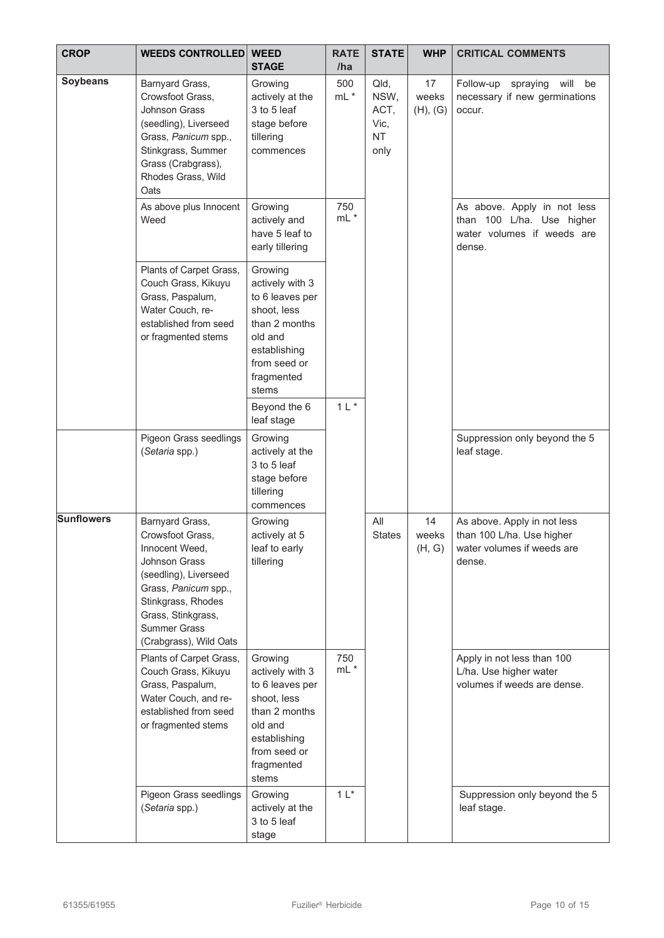| <b>CROP</b>       | <b>WEEDS CONTROLLED</b>                                                                                                                                                                                                     | <b>WEED</b><br><b>STAGE</b>                                                                                                                     | <b>RATE</b><br>/ha | <b>STATE</b>                                      | <b>WHP</b>              | <b>CRITICAL COMMENTS</b>                                                                         |  |  |  |
|-------------------|-----------------------------------------------------------------------------------------------------------------------------------------------------------------------------------------------------------------------------|-------------------------------------------------------------------------------------------------------------------------------------------------|--------------------|---------------------------------------------------|-------------------------|--------------------------------------------------------------------------------------------------|--|--|--|
| <b>Soybeans</b>   | Barnyard Grass,<br>Crowsfoot Grass,<br><b>Johnson Grass</b><br>(seedling), Liverseed<br>Grass, Panicum spp.,<br>Stinkgrass, Summer<br>Grass (Crabgrass),<br>Rhodes Grass, Wild<br>Oats                                      | Growing<br>actively at the<br>3 to 5 leaf<br>stage before<br>tillering<br>commences                                                             | 500<br>$mL^*$      | Qld,<br>NSW,<br>ACT,<br>Vic,<br><b>NT</b><br>only | 17<br>weeks<br>(H), (G) | Follow-up<br>will<br>spraying<br>be<br>necessary if new germinations<br>occur.                   |  |  |  |
|                   | As above plus Innocent<br>Weed                                                                                                                                                                                              | Growing<br>actively and<br>have 5 leaf to<br>early tillering                                                                                    | 750<br>$mL^*$      |                                                   |                         | As above. Apply in not less<br>than 100 L/ha. Use higher<br>water volumes if weeds are<br>dense. |  |  |  |
|                   | Plants of Carpet Grass,<br>Couch Grass, Kikuyu<br>Grass, Paspalum,<br>Water Couch, re-<br>established from seed<br>or fragmented stems                                                                                      | Growing<br>actively with 3<br>to 6 leaves per<br>shoot, less<br>than 2 months<br>old and<br>establishing<br>from seed or<br>fragmented<br>stems |                    |                                                   |                         |                                                                                                  |  |  |  |
|                   |                                                                                                                                                                                                                             | Beyond the 6<br>leaf stage                                                                                                                      | $1 L$ *            |                                                   |                         |                                                                                                  |  |  |  |
|                   | Pigeon Grass seedlings<br>(Setaria spp.)                                                                                                                                                                                    | Growing<br>actively at the<br>3 to 5 leaf<br>stage before<br>tillering<br>commences                                                             |                    |                                                   |                         | Suppression only beyond the 5<br>leaf stage.                                                     |  |  |  |
| <b>Sunflowers</b> | Barnyard Grass,<br>Crowsfoot Grass,<br>Innocent Weed,<br><b>Johnson Grass</b><br>(seedling), Liverseed<br>Grass, Panicum spp.,<br>Stinkgrass, Rhodes<br>Grass, Stinkgrass,<br><b>Summer Grass</b><br>(Crabgrass), Wild Oats | Growing<br>actively at 5<br>leaf to early<br>tillering                                                                                          |                    | All<br><b>States</b>                              | 14<br>weeks<br>(H, G)   | As above. Apply in not less<br>than 100 L/ha. Use higher<br>water volumes if weeds are<br>dense. |  |  |  |
|                   | Plants of Carpet Grass,<br>Couch Grass, Kikuyu<br>Grass, Paspalum,<br>Water Couch, and re-<br>established from seed<br>or fragmented stems                                                                                  | Growing<br>actively with 3<br>to 6 leaves per<br>shoot, less<br>than 2 months<br>old and<br>establishing<br>from seed or<br>fragmented<br>stems | 750<br>$mL^*$      |                                                   |                         | Apply in not less than 100<br>L/ha. Use higher water<br>volumes if weeds are dense.              |  |  |  |
|                   | Pigeon Grass seedlings<br>(Setaria spp.)                                                                                                                                                                                    | Growing<br>actively at the<br>3 to 5 leaf<br>stage                                                                                              | $1*$               |                                                   |                         | Suppression only beyond the 5<br>leaf stage.                                                     |  |  |  |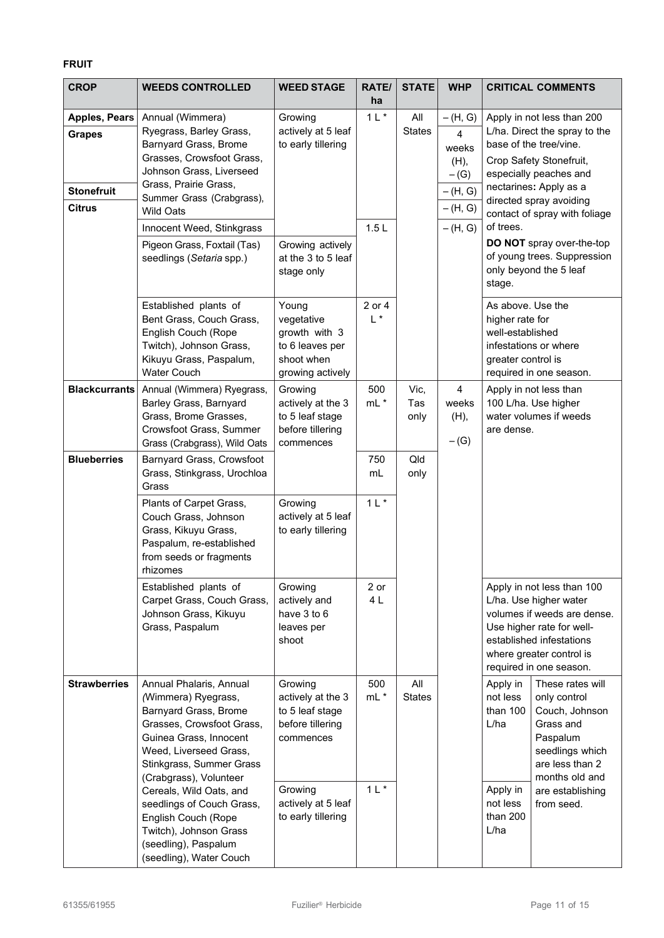# **FRUIT**

| <b>CROP</b>                                                                 | <b>WEEDS CONTROLLED</b>                                                                                                                                                                                                              | <b>WEED STAGE</b>                                                                         | RATE/<br>ha                  | <b>STATE</b>         | <b>WHP</b>                                                                       |                                                                                                                                                               | <b>CRITICAL COMMENTS</b>                                                                                                                                                                                                         |  |  |
|-----------------------------------------------------------------------------|--------------------------------------------------------------------------------------------------------------------------------------------------------------------------------------------------------------------------------------|-------------------------------------------------------------------------------------------|------------------------------|----------------------|----------------------------------------------------------------------------------|---------------------------------------------------------------------------------------------------------------------------------------------------------------|----------------------------------------------------------------------------------------------------------------------------------------------------------------------------------------------------------------------------------|--|--|
| <b>Apples, Pears</b><br><b>Grapes</b><br><b>Stonefruit</b><br><b>Citrus</b> | Annual (Wimmera)<br>Ryegrass, Barley Grass,<br>Barnyard Grass, Brome<br>Grasses, Crowsfoot Grass,<br>Johnson Grass, Liverseed<br>Grass, Prairie Grass,<br>Summer Grass (Crabgrass),<br><b>Wild Oats</b><br>Innocent Weed, Stinkgrass | Growing<br>actively at 5 leaf<br>to early tillering                                       | $1 L^*$<br>1.5L              | All<br><b>States</b> | $-(H, G)$<br>4<br>weeks<br>(H),<br>$-(G)$<br>$-(H, G)$<br>$-(H, G)$<br>$-(H, G)$ | of trees.                                                                                                                                                     | Apply in not less than 200<br>L/ha. Direct the spray to the<br>base of the tree/vine.<br>Crop Safety Stonefruit,<br>especially peaches and<br>nectarines: Apply as a<br>directed spray avoiding<br>contact of spray with foliage |  |  |
|                                                                             | Pigeon Grass, Foxtail (Tas)<br>seedlings (Setaria spp.)                                                                                                                                                                              | Growing actively<br>at the 3 to 5 leaf<br>stage only                                      |                              |                      | stage.                                                                           |                                                                                                                                                               | DO NOT spray over-the-top<br>of young trees. Suppression<br>only beyond the 5 leaf                                                                                                                                               |  |  |
|                                                                             | Established plants of<br>Bent Grass, Couch Grass,<br>English Couch (Rope<br>Twitch), Johnson Grass,<br>Kikuyu Grass, Paspalum,<br><b>Water Couch</b>                                                                                 | Young<br>vegetative<br>growth with 3<br>to 6 leaves per<br>shoot when<br>growing actively | 2 or 4<br>$\mathsf{L}^{\,*}$ |                      |                                                                                  | As above. Use the<br>higher rate for<br>well-established<br>greater control is                                                                                | infestations or where<br>required in one season.                                                                                                                                                                                 |  |  |
| <b>Blackcurrants</b>                                                        | Annual (Wimmera) Ryegrass,<br>Barley Grass, Barnyard<br>Grass, Brome Grasses,<br>Crowsfoot Grass, Summer<br>Grass (Crabgrass), Wild Oats                                                                                             | Growing<br>actively at the 3<br>to 5 leaf stage<br>before tillering<br>commences          | 500<br>$mL^*$                | Vic,<br>Tas<br>only  | $\overline{4}$<br>weeks<br>(H),<br>$-(G)$                                        | are dense.                                                                                                                                                    | Apply in not less than<br>100 L/ha. Use higher<br>water volumes if weeds                                                                                                                                                         |  |  |
| <b>Blueberries</b>                                                          | Barnyard Grass, Crowsfoot<br>Grass, Stinkgrass, Urochloa<br>Grass                                                                                                                                                                    |                                                                                           | 750<br>mL                    | Qld<br>only          |                                                                                  |                                                                                                                                                               |                                                                                                                                                                                                                                  |  |  |
|                                                                             | Plants of Carpet Grass,<br>Couch Grass, Johnson<br>Grass, Kikuyu Grass,<br>Paspalum, re-established<br>from seeds or fragments<br>rhizomes                                                                                           | Growing<br>actively at 5 leaf<br>to early tillering                                       | 1 L                          |                      |                                                                                  |                                                                                                                                                               |                                                                                                                                                                                                                                  |  |  |
|                                                                             | Established plants of<br>Carpet Grass, Couch Grass,<br>Johnson Grass, Kikuyu<br>Grass, Paspalum                                                                                                                                      | Growing<br>actively and<br>have 3 to 6<br>leaves per<br>shoot                             | 2 or<br>4L                   |                      |                                                                                  |                                                                                                                                                               | Apply in not less than 100<br>L/ha. Use higher water<br>volumes if weeds are dense.<br>Use higher rate for well-<br>established infestations<br>where greater control is<br>required in one season.                              |  |  |
| <b>Strawberries</b>                                                         | Annual Phalaris, Annual<br>(Wimmera) Ryegrass,<br>Barnyard Grass, Brome<br>Grasses, Crowsfoot Grass,<br>Guinea Grass, Innocent<br>Weed, Liverseed Grass,<br>Stinkgrass, Summer Grass<br>(Crabgrass), Volunteer                       | Growing<br>actively at the 3<br>to 5 leaf stage<br>before tillering<br>commences          | 500<br>mL *                  | All<br><b>States</b> |                                                                                  | These rates will<br>Apply in<br>not less<br>only control<br>than 100<br>Couch, Johnson<br>L/ha<br>Grass and<br>Paspalum<br>seedlings which<br>are less than 2 |                                                                                                                                                                                                                                  |  |  |
|                                                                             | Cereals, Wild Oats, and<br>seedlings of Couch Grass,<br>English Couch (Rope<br>Twitch), Johnson Grass<br>(seedling), Paspalum<br>(seedling), Water Couch                                                                             | Growing<br>actively at 5 leaf<br>to early tillering                                       | $1 L^*$                      |                      |                                                                                  | months old and<br>Apply in<br>are establishing<br>not less<br>from seed.<br>than 200<br>L/ha                                                                  |                                                                                                                                                                                                                                  |  |  |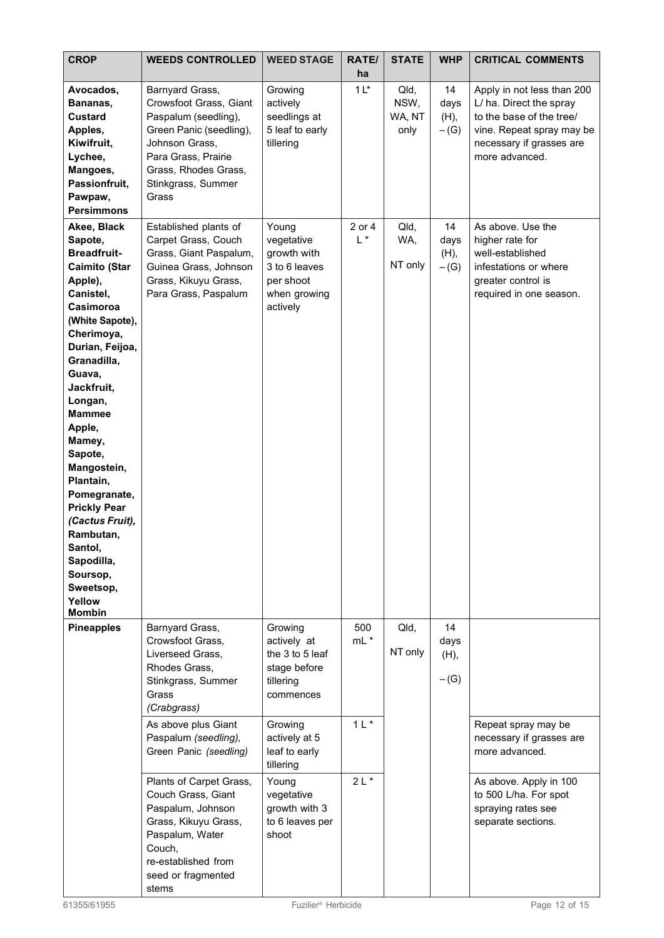| <b>CROP</b>                                                                                                                                                                                                                                                                                                                                                                                                                       | <b>WEEDS CONTROLLED</b>                                                                                                                                                                         | <b>WEED STAGE</b>                                                                                                                             | <b>RATE/</b><br>ha     | <b>STATE</b>                   | <b>WHP</b>                   | <b>CRITICAL COMMENTS</b>                                                                                                                                     |
|-----------------------------------------------------------------------------------------------------------------------------------------------------------------------------------------------------------------------------------------------------------------------------------------------------------------------------------------------------------------------------------------------------------------------------------|-------------------------------------------------------------------------------------------------------------------------------------------------------------------------------------------------|-----------------------------------------------------------------------------------------------------------------------------------------------|------------------------|--------------------------------|------------------------------|--------------------------------------------------------------------------------------------------------------------------------------------------------------|
| Avocados,<br>Bananas,<br><b>Custard</b><br>Apples,<br>Kiwifruit,<br>Lychee,<br>Mangoes,<br>Passionfruit,<br>Pawpaw,<br><b>Persimmons</b>                                                                                                                                                                                                                                                                                          | Barnyard Grass,<br>Crowsfoot Grass, Giant<br>Paspalum (seedling),<br>Green Panic (seedling),<br>Johnson Grass,<br>Para Grass, Prairie<br>Grass, Rhodes Grass,<br>Stinkgrass, Summer<br>Grass    | Growing<br>actively<br>seedlings at<br>5 leaf to early<br>tillering                                                                           | 1 <sup>1</sup>         | Qld,<br>NSW,<br>WA, NT<br>only | 14<br>days<br>(H),<br>$-(G)$ | Apply in not less than 200<br>L/ ha. Direct the spray<br>to the base of the tree/<br>vine. Repeat spray may be<br>necessary if grasses are<br>more advanced. |
| Akee, Black<br>Sapote,<br><b>Breadfruit-</b><br>Caimito (Star<br>Apple),<br>Canistel,<br>Casimoroa<br>(White Sapote),<br>Cherimoya,<br>Durian, Feijoa,<br>Granadilla,<br>Guava,<br>Jackfruit,<br>Longan,<br><b>Mammee</b><br>Apple,<br>Mamey,<br>Sapote,<br>Mangostein,<br>Plantain,<br>Pomegranate,<br><b>Prickly Pear</b><br>(Cactus Fruit),<br>Rambutan,<br>Santol,<br>Sapodilla,<br>Soursop,<br>Sweetsop,<br>Yellow<br>Mombin | Established plants of<br>Carpet Grass, Couch<br>Grass, Giant Paspalum,<br>Guinea Grass, Johnson<br>Grass, Kikuyu Grass,<br>Para Grass, Paspalum                                                 | Young<br>vegetative<br>growth with<br>3 to 6 leaves<br>per shoot<br>when growing<br>actively                                                  | 2 or 4<br>$L^*$        | Qld,<br>WA,<br>NT only         | 14<br>days<br>(H),<br>$-(G)$ | As above. Use the<br>higher rate for<br>well-established<br>infestations or where<br>greater control is<br>required in one season.                           |
| <b>Pineapples</b>                                                                                                                                                                                                                                                                                                                                                                                                                 | Barnyard Grass,<br>Crowsfoot Grass,<br>Liverseed Grass,<br>Rhodes Grass,<br>Stinkgrass, Summer<br>Grass<br>(Crabgrass)<br>As above plus Giant<br>Paspalum (seedling),<br>Green Panic (seedling) | Growing<br>actively at<br>the 3 to 5 leaf<br>stage before<br>tillering<br>commences<br>Growing<br>actively at 5<br>leaf to early<br>tillering | 500<br>mL *<br>$1 L^*$ | Qld,<br>NT only                | 14<br>days<br>(H),<br>$-(G)$ | Repeat spray may be<br>necessary if grasses are<br>more advanced.                                                                                            |
|                                                                                                                                                                                                                                                                                                                                                                                                                                   | Plants of Carpet Grass,<br>Couch Grass, Giant<br>Paspalum, Johnson<br>Grass, Kikuyu Grass,<br>Paspalum, Water<br>Couch,<br>re-established from<br>seed or fragmented<br>stems                   | Young<br>vegetative<br>growth with 3<br>to 6 leaves per<br>shoot                                                                              | $2L*$                  |                                |                              | As above. Apply in 100<br>to 500 L/ha. For spot<br>spraying rates see<br>separate sections.                                                                  |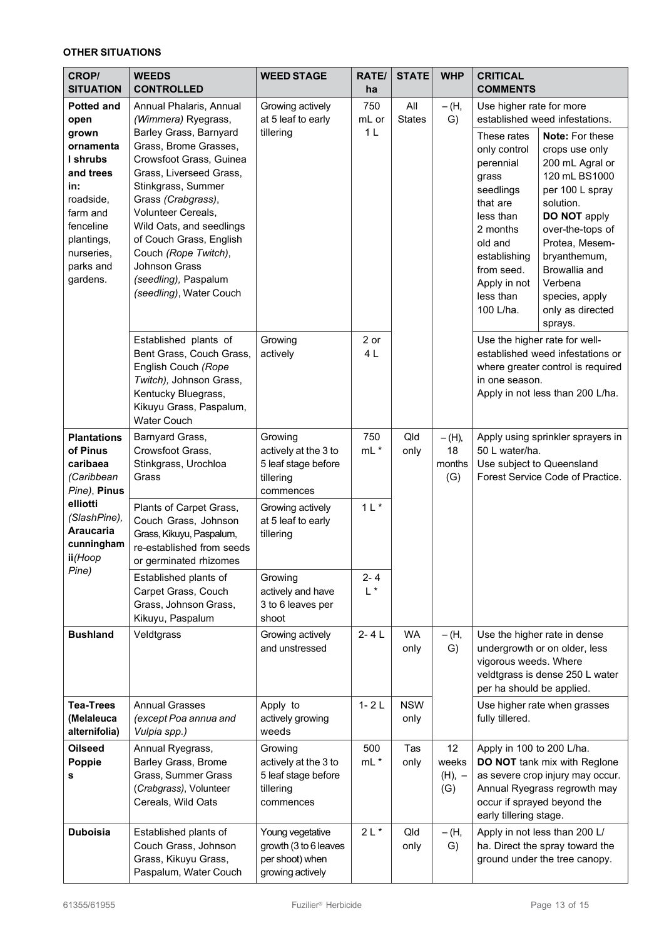# **OTHER SITUATIONS**

| <b>CROP/</b><br><b>SITUATION</b>                                                             | <b>WEEDS</b><br><b>CONTROLLED</b>                                                                                                                                                                   | <b>WEED STAGE</b>                                                                | <b>RATE/</b><br>ha             | <b>STATE</b>         | <b>WHP</b>                     | <b>CRITICAL</b><br><b>COMMENTS</b>                                                                                                                                                                                                                                                   |  |
|----------------------------------------------------------------------------------------------|-----------------------------------------------------------------------------------------------------------------------------------------------------------------------------------------------------|----------------------------------------------------------------------------------|--------------------------------|----------------------|--------------------------------|--------------------------------------------------------------------------------------------------------------------------------------------------------------------------------------------------------------------------------------------------------------------------------------|--|
| <b>Potted and</b><br>open<br>grown<br>ornamenta<br>I shrubs<br>and trees<br>in:<br>roadside, | Annual Phalaris, Annual<br>(Wimmera) Ryegrass,<br>Barley Grass, Barnyard<br>Grass, Brome Grasses,<br>Crowsfoot Grass, Guinea<br>Grass, Liverseed Grass,<br>Stinkgrass, Summer<br>Grass (Crabgrass), | Growing actively<br>at 5 leaf to early<br>tillering                              | 750<br>mL or<br>1 <sub>L</sub> | All<br><b>States</b> | $-(H,$<br>G)                   | Use higher rate for more<br>established weed infestations.<br>These rates<br>Note: For these<br>only control<br>crops use only<br>200 mL Agral or<br>perennial<br>120 mL BS1000<br>grass<br>per 100 L spray<br>seedlings                                                             |  |
| farm and<br>fenceline<br>plantings,<br>nurseries,<br>parks and<br>gardens.                   | Volunteer Cereals,<br>Wild Oats, and seedlings<br>of Couch Grass, English<br>Couch (Rope Twitch),<br><b>Johnson Grass</b><br>(seedling), Paspalum<br>(seedling), Water Couch                        |                                                                                  |                                |                      |                                | that are<br>solution.<br>less than<br>DO NOT apply<br>2 months<br>over-the-tops of<br>Protea, Mesem-<br>old and<br>bryanthemum,<br>establishing<br>Browallia and<br>from seed.<br>Verbena<br>Apply in not<br>less than<br>species, apply<br>100 L/ha.<br>only as directed<br>sprays. |  |
|                                                                                              | Established plants of<br>Bent Grass, Couch Grass,<br>English Couch (Rope<br>Twitch), Johnson Grass,<br>Kentucky Bluegrass,<br>Kikuyu Grass, Paspalum,<br><b>Water Couch</b>                         | Growing<br>actively                                                              | 2 or<br>4L                     |                      |                                | Use the higher rate for well-<br>established weed infestations or<br>where greater control is required<br>in one season.<br>Apply in not less than 200 L/ha.                                                                                                                         |  |
| <b>Plantations</b><br>of Pinus<br>caribaea<br>(Caribbean<br>Pine), Pinus                     | Barnyard Grass,<br>Crowsfoot Grass,<br>Stinkgrass, Urochloa<br>Grass                                                                                                                                | Growing<br>actively at the 3 to<br>5 leaf stage before<br>tillering<br>commences | 750<br>mL *                    | Qld<br>only          | $-(H),$<br>18<br>months<br>(G) | Apply using sprinkler sprayers in<br>50 L water/ha.<br>Use subject to Queensland<br>Forest Service Code of Practice.                                                                                                                                                                 |  |
| elliotti<br>(SlashPine),<br><b>Araucaria</b><br>cunningham<br>ii(Hoop                        | Plants of Carpet Grass,<br>Couch Grass, Johnson<br>Grass, Kikuyu, Paspalum,<br>re-established from seeds<br>or germinated rhizomes                                                                  | Growing actively<br>at 5 leaf to early<br>tillering                              | $1 L$ *                        |                      |                                |                                                                                                                                                                                                                                                                                      |  |
| Pine)                                                                                        | Established plants of<br>Carpet Grass, Couch<br>Grass, Johnson Grass,<br>Kikuyu, Paspalum                                                                                                           | Growing<br>actively and have<br>3 to 6 leaves per<br>shoot                       | $2 - 4$<br>$L^*$               |                      |                                |                                                                                                                                                                                                                                                                                      |  |
| <b>Bushland</b>                                                                              | Veldtgrass                                                                                                                                                                                          | Growing actively<br>and unstressed                                               | $2 - 4L$                       | <b>WA</b><br>only    | $-(H,$<br>G)                   | Use the higher rate in dense<br>undergrowth or on older, less<br>vigorous weeds. Where<br>veldtgrass is dense 250 L water<br>per ha should be applied.                                                                                                                               |  |
| <b>Tea-Trees</b><br>(Melaleuca<br>alternifolia)                                              | <b>Annual Grasses</b><br>(except Poa annua and<br>Vulpia spp.)                                                                                                                                      | Apply to<br>actively growing<br>weeds                                            | $1 - 2L$                       | <b>NSW</b><br>only   |                                | Use higher rate when grasses<br>fully tillered.                                                                                                                                                                                                                                      |  |
| <b>Oilseed</b><br>Poppie<br>s                                                                | Annual Ryegrass,<br>Barley Grass, Brome<br>Grass, Summer Grass<br>(Crabgrass), Volunteer<br>Cereals, Wild Oats                                                                                      | Growing<br>actively at the 3 to<br>5 leaf stage before<br>tillering<br>commences | 500<br>$mL^*$                  | Tas<br>only          | 12<br>weeks<br>$(H), -$<br>(G) | Apply in 100 to 200 L/ha.<br>DO NOT tank mix with Reglone<br>as severe crop injury may occur.<br>Annual Ryegrass regrowth may<br>occur if sprayed beyond the<br>early tillering stage.                                                                                               |  |
| <b>Duboisia</b>                                                                              | Established plants of<br>Couch Grass, Johnson<br>Grass, Kikuyu Grass,<br>Paspalum, Water Couch                                                                                                      | Young vegetative<br>growth (3 to 6 leaves<br>per shoot) when<br>growing actively | $2L*$                          | Qld<br>only          | $-(H,$<br>G)                   | Apply in not less than 200 L/<br>ha. Direct the spray toward the<br>ground under the tree canopy.                                                                                                                                                                                    |  |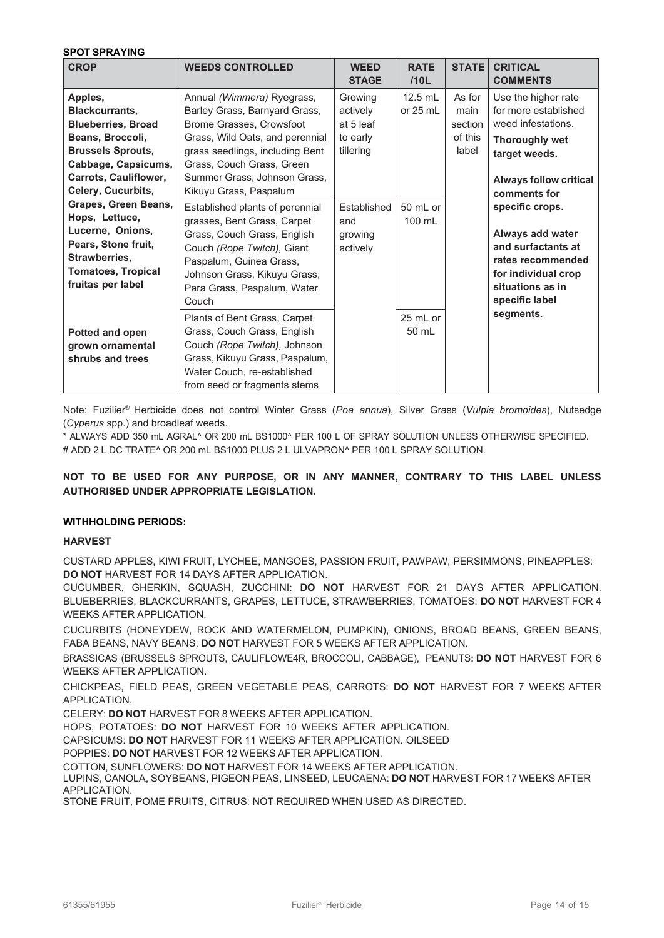#### **SPOT SPRAYING**

| <b>CROP</b>                                                                                                                                                                | <b>WEEDS CONTROLLED</b>                                                                                                                                                                                                                                  | <b>WEED</b><br><b>STAGE</b>                               | <b>RATE</b><br>/10L   | <b>STATE</b>                                  | <b>CRITICAL</b><br><b>COMMENTS</b>                                                                                                                          |
|----------------------------------------------------------------------------------------------------------------------------------------------------------------------------|----------------------------------------------------------------------------------------------------------------------------------------------------------------------------------------------------------------------------------------------------------|-----------------------------------------------------------|-----------------------|-----------------------------------------------|-------------------------------------------------------------------------------------------------------------------------------------------------------------|
| Apples,<br><b>Blackcurrants,</b><br><b>Blueberries, Broad</b><br>Beans, Broccoli,<br><b>Brussels Sprouts,</b><br>Cabbage, Capsicums,<br><b>Carrots, Cauliflower,</b>       | Annual (Wimmera) Ryegrass,<br>Barley Grass, Barnyard Grass,<br>Brome Grasses, Crowsfoot<br>Grass, Wild Oats, and perennial<br>grass seedlings, including Bent<br>Grass, Couch Grass, Green<br>Summer Grass, Johnson Grass,                               | Growing<br>actively<br>at 5 leaf<br>to early<br>tillering | 12.5 mL<br>or $25$ mL | As for<br>main<br>section<br>of this<br>label | Use the higher rate<br>for more established<br>weed infestations.<br><b>Thoroughly wet</b><br>target weeds.<br><b>Always follow critical</b>                |
| Celery, Cucurbits,<br>Grapes, Green Beans,<br>Hops, Lettuce,<br>Lucerne, Onions,<br>Pears, Stone fruit,<br>Strawberries,<br><b>Tomatoes, Tropical</b><br>fruitas per label | Kikuyu Grass, Paspalum<br>Established plants of perennial<br>grasses, Bent Grass, Carpet<br>Grass, Couch Grass, English<br>Couch (Rope Twitch), Giant<br>Paspalum, Guinea Grass,<br>Johnson Grass, Kikuyu Grass,<br>Para Grass, Paspalum, Water<br>Couch | Established<br>and<br>growing<br>actively                 | 50 mL or<br>100 mL    |                                               | comments for<br>specific crops.<br>Always add water<br>and surfactants at<br>rates recommended<br>for individual crop<br>situations as in<br>specific label |
| Potted and open<br>grown ornamental<br>shrubs and trees                                                                                                                    | Plants of Bent Grass, Carpet<br>Grass, Couch Grass, English<br>Couch (Rope Twitch), Johnson<br>Grass, Kikuyu Grass, Paspalum,<br>Water Couch, re-established<br>from seed or fragments stems                                                             |                                                           | 25 mL or<br>50 mL     |                                               | segments.                                                                                                                                                   |

Note: Fuzilier® Herbicide does not control Winter Grass (*Poa annua*), Silver Grass (*Vulpia bromoides*), Nutsedge (*Cyperus* spp.) and broadleaf weeds.

\* ALWAYS ADD 350 mL AGRAL^ OR 200 mL BS1000^ PER 100 L OF SPRAY SOLUTION UNLESS OTHERWISE SPECIFIED. # ADD 2 L DC TRATE^ OR 200 mL BS1000 PLUS 2 L ULVAPRON^ PER 100 L SPRAY SOLUTION.

## **NOT TO BE USED FOR ANY PURPOSE, OR IN ANY MANNER, CONTRARY TO THIS LABEL UNLESS AUTHORISED UNDER APPROPRIATE LEGISLATION.**

## **WITHHOLDING PERIODS:**

## **HARVEST**

CUSTARD APPLES, KIWI FRUIT, LYCHEE, MANGOES, PASSION FRUIT, PAWPAW, PERSIMMONS, PINEAPPLES: **DO NOT** HARVEST FOR 14 DAYS AFTER APPLICATION.

CUCUMBER, GHERKIN, SQUASH, ZUCCHINI: **DO NOT** HARVEST FOR 21 DAYS AFTER APPLICATION. BLUEBERRIES, BLACKCURRANTS, GRAPES, LETTUCE, STRAWBERRIES, TOMATOES: **DO NOT** HARVEST FOR 4 WEEKS AFTER APPLICATION.

CUCURBITS (HONEYDEW, ROCK AND WATERMELON, PUMPKIN), ONIONS, BROAD BEANS, GREEN BEANS, FABA BEANS, NAVY BEANS: **DO NOT** HARVEST FOR 5 WEEKS AFTER APPLICATION.

BRASSICAS (BRUSSELS SPROUTS, CAULIFLOWE4R, BROCCOLI, CABBAGE), PEANUTS**: DO NOT** HARVEST FOR 6 WEEKS AFTER APPLICATION.

CHICKPEAS, FIELD PEAS, GREEN VEGETABLE PEAS, CARROTS: **DO NOT** HARVEST FOR 7 WEEKS AFTER APPLICATION.

CELERY: **DO NOT** HARVEST FOR 8 WEEKS AFTER APPLICATION.

HOPS, POTATOES: **DO NOT** HARVEST FOR 10 WEEKS AFTER APPLICATION.

CAPSICUMS: **DO NOT** HARVEST FOR 11 WEEKS AFTER APPLICATION. OILSEED

POPPIES: **DO NOT** HARVEST FOR 12 WEEKS AFTER APPLICATION.

COTTON, SUNFLOWERS: **DO NOT** HARVEST FOR 14 WEEKS AFTER APPLICATION.

LUPINS, CANOLA, SOYBEANS, PIGEON PEAS, LINSEED, LEUCAENA: **DO NOT** HARVEST FOR 17 WEEKS AFTER APPLICATION.

STONE FRUIT, POME FRUITS, CITRUS: NOT REQUIRED WHEN USED AS DIRECTED.